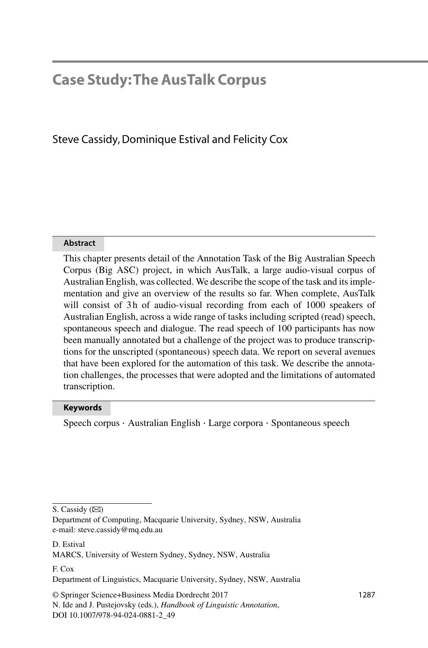# **Case Study:The AusTalk Corpus**

# Steve Cassidy, Dominique Estival and Felicity Cox

#### **Abstract**

This chapter presents detail of the Annotation Task of the Big Australian Speech Corpus (Big ASC) project, in which AusTalk, a large audio-visual corpus of Australian English, was collected. We describe the scope of the task and its implementation and give an overview of the results so far. When complete, AusTalk will consist of 3h of audio-visual recording from each of 1000 speakers of Australian English, across a wide range of tasks including scripted (read) speech, spontaneous speech and dialogue. The read speech of 100 participants has now been manually annotated but a challenge of the project was to produce transcriptions for the unscripted (spontaneous) speech data. We report on several avenues that have been explored for the automation of this task. We describe the annotation challenges, the processes that were adopted and the limitations of automated transcription.

#### **Keywords**

Speech corpus · Australian English · Large corpora · Spontaneous speech

D. Estival MARCS, University of Western Sydney, Sydney, NSW, Australia

F. Cox Department of Linguistics, Macquarie University, Sydney, NSW, Australia

© Springer Science+Business Media Dordrecht 2017 N. Ide and J. Pustejovsky (eds.), *Handbook of Linguistic Annotation*, DOI 10.1007/978-94-024-0881-2\_49

S. Cassidy  $(\boxtimes)$ 

Department of Computing, Macquarie University, Sydney, NSW, Australia e-mail: steve.cassidy@mq.edu.au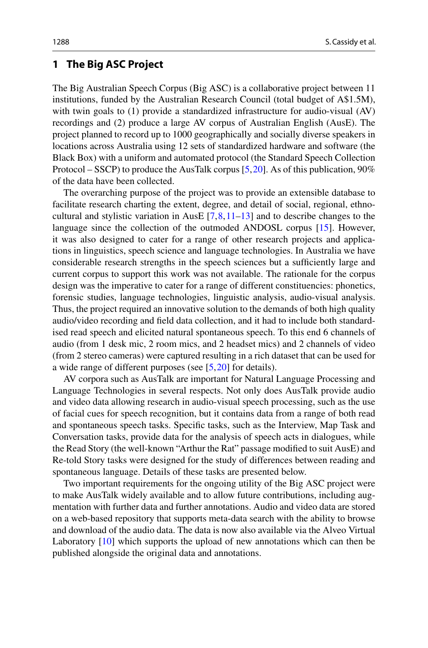## **1 The Big ASC Project**

The Big Australian Speech Corpus (Big ASC) is a collaborative project between 11 institutions, funded by the Australian Research Council (total budget of A\$1.5M), with twin goals to (1) provide a standardized infrastructure for audio-visual (AV) recordings and (2) produce a large AV corpus of Australian English (AusE). The project planned to record up to 1000 geographically and socially diverse speakers in locations across Australia using 12 sets of standardized hardware and software (the Black Box) with a uniform and automated protocol (the Standard Speech Collection Protocol – SSCP) to produce the AusTalk corpus [5,20]. As of this publication, 90% of the data have been collected.

The overarching purpose of the project was to provide an extensible database to facilitate research charting the extent, degree, and detail of social, regional, ethnocultural and stylistic variation in AusE  $[7,8,11-13]$  and to describe changes to the language since the collection of the outmoded ANDOSL corpus [15]. However, it was also designed to cater for a range of other research projects and applications in linguistics, speech science and language technologies. In Australia we have considerable research strengths in the speech sciences but a sufficiently large and current corpus to support this work was not available. The rationale for the corpus design was the imperative to cater for a range of different constituencies: phonetics, forensic studies, language technologies, linguistic analysis, audio-visual analysis. Thus, the project required an innovative solution to the demands of both high quality audio/video recording and field data collection, and it had to include both standardised read speech and elicited natural spontaneous speech. To this end 6 channels of audio (from 1 desk mic, 2 room mics, and 2 headset mics) and 2 channels of video (from 2 stereo cameras) were captured resulting in a rich dataset that can be used for a wide range of different purposes (see [5,20] for details).

AV corpora such as AusTalk are important for Natural Language Processing and Language Technologies in several respects. Not only does AusTalk provide audio and video data allowing research in audio-visual speech processing, such as the use of facial cues for speech recognition, but it contains data from a range of both read and spontaneous speech tasks. Specific tasks, such as the Interview, Map Task and Conversation tasks, provide data for the analysis of speech acts in dialogues, while the Read Story (the well-known "Arthur the Rat" passage modified to suit AusE) and Re-told Story tasks were designed for the study of differences between reading and spontaneous language. Details of these tasks are presented below.

Two important requirements for the ongoing utility of the Big ASC project were to make AusTalk widely available and to allow future contributions, including augmentation with further data and further annotations. Audio and video data are stored on a web-based repository that supports meta-data search with the ability to browse and download of the audio data. The data is now also available via the Alveo Virtual Laboratory [10] which supports the upload of new annotations which can then be published alongside the original data and annotations.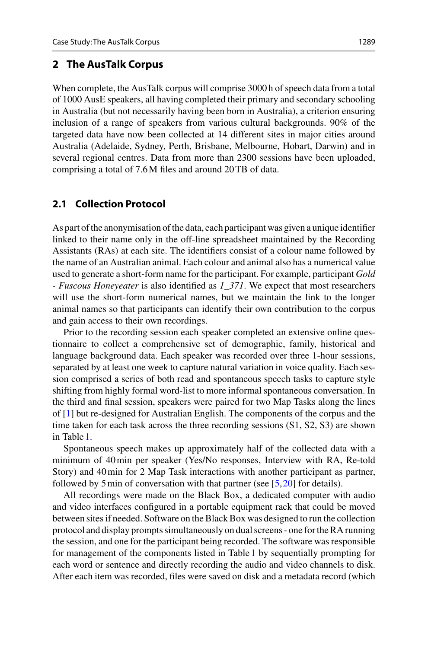#### **2 The AusTalk Corpus**

When complete, the AusTalk corpus will comprise 3000 h of speech data from a total of 1000 AusE speakers, all having completed their primary and secondary schooling in Australia (but not necessarily having been born in Australia), a criterion ensuring inclusion of a range of speakers from various cultural backgrounds. 90% of the targeted data have now been collected at 14 different sites in major cities around Australia (Adelaide, Sydney, Perth, Brisbane, Melbourne, Hobart, Darwin) and in several regional centres. Data from more than 2300 sessions have been uploaded, comprising a total of 7.6M files and around 20 TB of data.

## **2.1 Collection Protocol**

As part of the anonymisation of the data, each participant was given a unique identifier linked to their name only in the off-line spreadsheet maintained by the Recording Assistants (RAs) at each site. The identifiers consist of a colour name followed by the name of an Australian animal. Each colour and animal also has a numerical value used to generate a short-form name for the participant. For example, participant *Gold - Fuscous Honeyeater* is also identified as *1\_371*. We expect that most researchers will use the short-form numerical names, but we maintain the link to the longer animal names so that participants can identify their own contribution to the corpus and gain access to their own recordings.

Prior to the recording session each speaker completed an extensive online questionnaire to collect a comprehensive set of demographic, family, historical and language background data. Each speaker was recorded over three 1-hour sessions, separated by at least one week to capture natural variation in voice quality. Each session comprised a series of both read and spontaneous speech tasks to capture style shifting from highly formal word-list to more informal spontaneous conversation. In the third and final session, speakers were paired for two Map Tasks along the lines of [1] but re-designed for Australian English. The components of the corpus and the time taken for each task across the three recording sessions (S1, S2, S3) are shown in Table 1.

Spontaneous speech makes up approximately half of the collected data with a minimum of 40 min per speaker (Yes/No responses, Interview with RA, Re-told Story) and 40 min for 2 Map Task interactions with another participant as partner, followed by 5 min of conversation with that partner (see  $[5,20]$  for details).

All recordings were made on the Black Box, a dedicated computer with audio and video interfaces configured in a portable equipment rack that could be moved between sites if needed. Software on the Black Box was designed to run the collection protocol and display prompts simultaneously on dual screens - one for the RA running the session, and one for the participant being recorded. The software was responsible for management of the components listed in Table 1 by sequentially prompting for each word or sentence and directly recording the audio and video channels to disk. After each item was recorded, files were saved on disk and a metadata record (which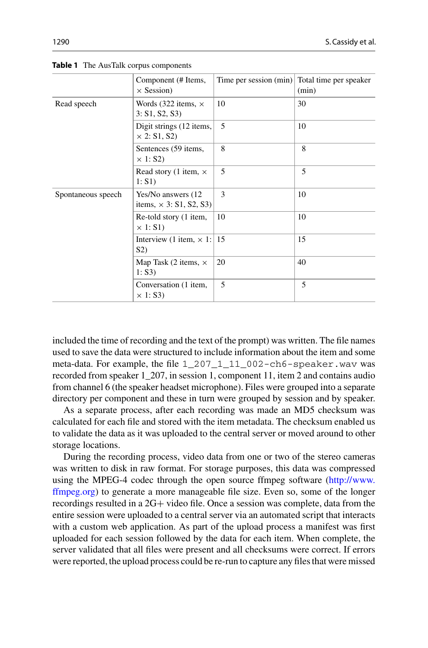|                    | Component (# Items,<br>$\times$ Session)                | Time per session (min) | Total time per speaker<br>(min) |
|--------------------|---------------------------------------------------------|------------------------|---------------------------------|
| Read speech        | Words (322 items, $\times$<br>3: S1, S2, S3             | 10                     | 30                              |
|                    | Digit strings (12 items,<br>$\times$ 2: S1, S2)         | 5                      | 10                              |
|                    | Sentences (59 items,<br>$\times$ 1: S2)                 | 8                      | 8                               |
|                    | Read story (1 item, $\times$<br>1: S1)                  | 5                      | 5                               |
| Spontaneous speech | Yes/No answers (12)<br>items, $\times$ 3: S1, S2, S3)   | 3                      | 10                              |
|                    | Re-told story (1 item,<br>$\times$ 1: S1)               | 10                     | 10                              |
|                    | Interview (1 item, $\times$ 1:   15<br>S <sub>2</sub> ) |                        | 15                              |
|                    | Map Task (2 items, $\times$<br>1: S3                    | 20                     | 40                              |
|                    | Conversation (1 item,<br>$\times$ 1: S3)                | 5                      | 5                               |

**Table 1** The AusTalk corpus components

included the time of recording and the text of the prompt) was written. The file names used to save the data were structured to include information about the item and some meta-data. For example, the file 1\_207\_1\_11\_002-ch6-speaker.wav was recorded from speaker 1\_207, in session 1, component 11, item 2 and contains audio from channel 6 (the speaker headset microphone). Files were grouped into a separate directory per component and these in turn were grouped by session and by speaker.

As a separate process, after each recording was made an MD5 checksum was calculated for each file and stored with the item metadata. The checksum enabled us to validate the data as it was uploaded to the central server or moved around to other storage locations.

During the recording process, video data from one or two of the st[ereo cameras](http://www.ffmpeg.org) [was written](http://www.ffmpeg.org) to disk in raw format. For storage purposes, this data was compressed using the MPEG-4 codec through the open source ffmpeg software (http://www. ffmpeg.org) to generate a more manageable file size. Even so, some of the longer recordings resulted in a 2G+ video file. Once a session was complete, data from the entire session were uploaded to a central server via an automated script that interacts with a custom web application. As part of the upload process a manifest was first uploaded for each session followed by the data for each item. When complete, the server validated that all files were present and all checksums were correct. If errors were reported, the upload process could be re-run to capture any files that were missed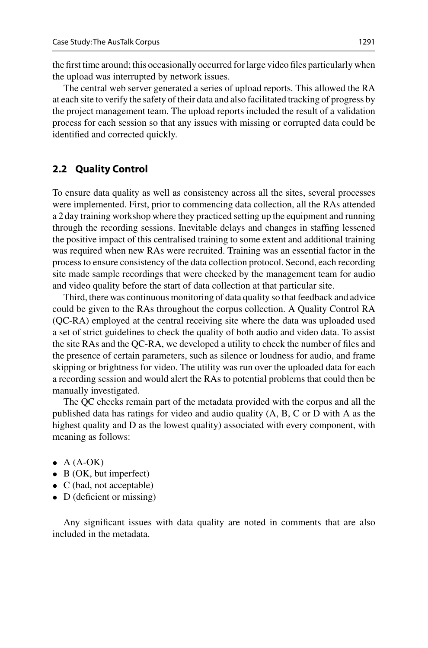the first time around; this occasionally occurred for large video files particularly when the upload was interrupted by network issues.

The central web server generated a series of upload reports. This allowed the RA at each site to verify the safety of their data and also facilitated tracking of progress by the project management team. The upload reports included the result of a validation process for each session so that any issues with missing or corrupted data could be identified and corrected quickly.

#### **2.2 Quality Control**

To ensure data quality as well as consistency across all the sites, several processes were implemented. First, prior to commencing data collection, all the RAs attended a 2 day training workshop where they practiced setting up the equipment and running through the recording sessions. Inevitable delays and changes in staffing lessened the positive impact of this centralised training to some extent and additional training was required when new RAs were recruited. Training was an essential factor in the process to ensure consistency of the data collection protocol. Second, each recording site made sample recordings that were checked by the management team for audio and video quality before the start of data collection at that particular site.

Third, there was continuous monitoring of data quality so that feedback and advice could be given to the RAs throughout the corpus collection. A Quality Control RA (QC-RA) employed at the central receiving site where the data was uploaded used a set of strict guidelines to check the quality of both audio and video data. To assist the site RAs and the QC-RA, we developed a utility to check the number of files and the presence of certain parameters, such as silence or loudness for audio, and frame skipping or brightness for video. The utility was run over the uploaded data for each a recording session and would alert the RAs to potential problems that could then be manually investigated.

The QC checks remain part of the metadata provided with the corpus and all the published data has ratings for video and audio quality (A, B, C or D with A as the highest quality and D as the lowest quality) associated with every component, with meaning as follows:

- $\bullet$  A (A-OK)
- B (OK, but imperfect)
- C (bad, not acceptable)
- D (deficient or missing)

Any significant issues with data quality are noted in comments that are also included in the metadata.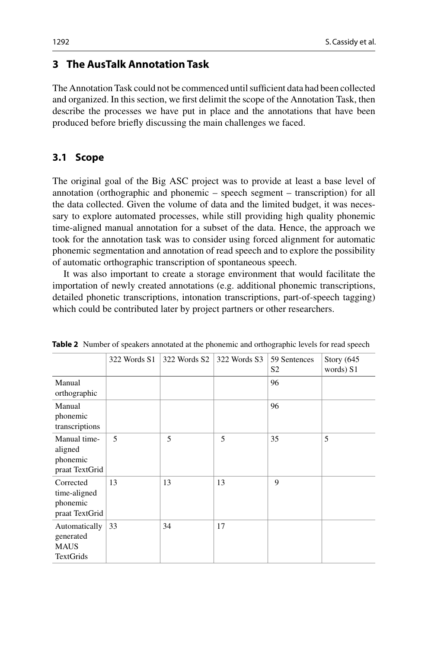# **3 The AusTalk Annotation Task**

The Annotation Task could not be commenced until sufficient data had been collected and organized. In this section, we first delimit the scope of the Annotation Task, then describe the processes we have put in place and the annotations that have been produced before briefly discussing the main challenges we faced.

#### **3.1 Scope**

The original goal of the Big ASC project was to provide at least a base level of annotation (orthographic and phonemic – speech segment – transcription) for all the data collected. Given the volume of data and the limited budget, it was necessary to explore automated processes, while still providing high quality phonemic time-aligned manual annotation for a subset of the data. Hence, the approach we took for the annotation task was to consider using forced alignment for automatic phonemic segmentation and annotation of read speech and to explore the possibility of automatic orthographic transcription of spontaneous speech.

It was also important to create a storage environment that would facilitate the importation of newly created annotations (e.g. additional phonemic transcriptions, detailed phonetic transcriptions, intonation transcriptions, part-of-speech tagging) which could be contributed later by project partners or other researchers.

|                                                         | 322 Words S1 | 322 Words S2 | 322 Words S3 | 59 Sentences<br>S <sub>2</sub> | Story $(645)$<br>words) S1 |
|---------------------------------------------------------|--------------|--------------|--------------|--------------------------------|----------------------------|
| Manual<br>orthographic                                  |              |              |              | 96                             |                            |
| Manual<br>phonemic<br>transcriptions                    |              |              |              | 96                             |                            |
| Manual time-<br>aligned<br>phonemic<br>praat TextGrid   | 5            | 5            | 5            | 35                             | 5                          |
| Corrected<br>time-aligned<br>phonemic<br>praat TextGrid | 13           | 13           | 13           | 9                              |                            |
| Automatically<br>generated<br><b>MAUS</b><br>TextGrids  | 33           | 34           | 17           |                                |                            |

**Table 2** Number of speakers annotated at the phonemic and orthographic levels for read speech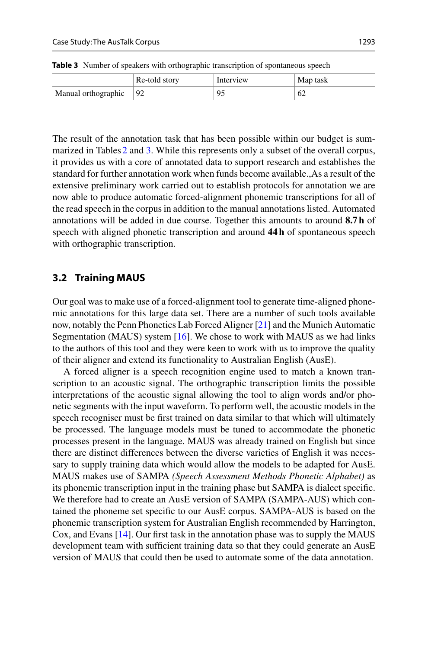|                            | Re-told story | Interview | Map task |
|----------------------------|---------------|-----------|----------|
| Manual orthographic $ 92 $ |               |           |          |

**Table 3** Number of speakers with orthographic transcription of spontaneous speech

The result of the annotation task that has been possible within our budget is summarized in Tables 2 and 3. While this represents only a subset of the overall corpus, it provides us with a core of annotated data to support research and establishes the standard for further annotation work when funds become available.,As a result of the extensive preliminary work carried out to establish protocols for annotation we are now able to produce automatic forced-alignment phonemic transcriptions for all of the read speech in the corpus in addition to the manual annotations listed. Automated annotations will be added in due course. Together this amounts to around **8.7 h** of speech with aligned phonetic transcription and around **44 h** of spontaneous speech with orthographic transcription.

#### **3.2 Training MAUS**

Our goal was to make use of a forced-alignment tool to generate time-aligned phonemic annotations for this large data set. There are a number of such tools available now, notably the Penn Phonetics Lab Forced Aligner [21] and the Munich Automatic Segmentation (MAUS) system  $[16]$ . We chose to work with MAUS as we had links to the authors of this tool and they were keen to work with us to improve the quality of their aligner and extend its functionality to Australian English (AusE).

A forced aligner is a speech recognition engine used to match a known transcription to an acoustic signal. The orthographic transcription limits the possible interpretations of the acoustic signal allowing the tool to align words and/or phonetic segments with the input waveform. To perform well, the acoustic models in the speech recogniser must be first trained on data similar to that which will ultimately be processed. The language models must be tuned to accommodate the phonetic processes present in the language. MAUS was already trained on English but since there are distinct differences between the diverse varieties of English it was necessary to supply training data which would allow the models to be adapted for AusE. MAUS makes use of SAMPA *(Speech Assessment Methods Phonetic Alphabet)* as its phonemic transcription input in the training phase but SAMPA is dialect specific. We therefore had to create an AusE version of SAMPA (SAMPA-AUS) which contained the phoneme set specific to our AusE corpus. SAMPA-AUS is based on the phonemic transcription system for Australian English recommended by Harrington, Cox, and Evans [14]. Our first task in the annotation phase was to supply the MAUS development team with sufficient training data so that they could generate an AusE version of MAUS that could then be used to automate some of the data annotation.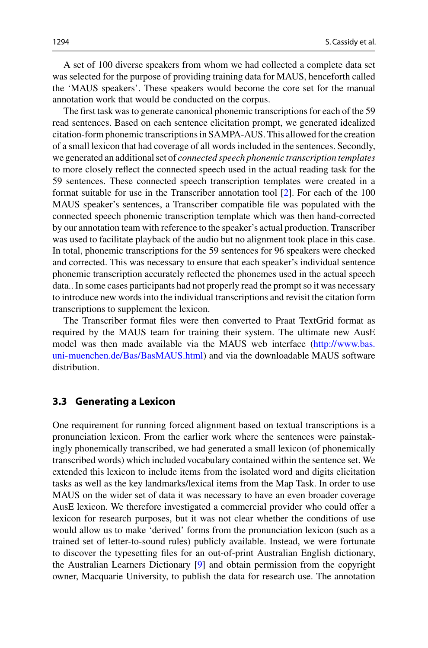A set of 100 diverse speakers from whom we had collected a complete data set was selected for the purpose of providing training data for MAUS, henceforth called the 'MAUS speakers'. These speakers would become the core set for the manual annotation work that would be conducted on the corpus.

The first task was to generate canonical phonemic transcriptions for each of the 59 read sentences. Based on each sentence elicitation prompt, we generated idealized citation-form phonemic transcriptions in SAMPA-AUS. This allowed for the creation of a small lexicon that had coverage of all words included in the sentences. Secondly, we generated an additional set of *connected speech phonemic transcription templates* to more closely reflect the connected speech used in the actual reading task for the 59 sentences. These connected speech transcription templates were created in a format suitable for use in the Transcriber annotation tool [2]. For each of the 100 MAUS speaker's sentences, a Transcriber compatible file was populated with the connected speech phonemic transcription template which was then hand-corrected by our annotation team with reference to the speaker's actual production. Transcriber was used to facilitate playback of the audio but no alignment took place in this case. In total, phonemic transcriptions for the 59 sentences for 96 speakers were checked and corrected. This was necessary to ensure that each speaker's individual sentence phonemic transcription accurately reflected the phonemes used in the actual speech data.. In some cases participants had not properly read the prompt so it was necessary to introduce new words into the individual transcriptions and revisit the citation form transcriptions to supplement the lexicon.

The Transcriber format files were then converted to Praat Te[xtGrid format as](http://www.bas.uni-muenchen.de/Bas/BasMAUS.html) [required](http://www.bas.uni-muenchen.de/Bas/BasMAUS.html) [by](http://www.bas.uni-muenchen.de/Bas/BasMAUS.html) [the](http://www.bas.uni-muenchen.de/Bas/BasMAUS.html) [MAUS](http://www.bas.uni-muenchen.de/Bas/BasMAUS.html) [team](http://www.bas.uni-muenchen.de/Bas/BasMAUS.html) [for](http://www.bas.uni-muenchen.de/Bas/BasMAUS.html) [train](http://www.bas.uni-muenchen.de/Bas/BasMAUS.html)ing their system. The ultimate new AusE model was then made available via the MAUS web interface (http://www.bas. uni-muenchen.de/Bas/BasMAUS.html) and via the downloadable MAUS software distribution.

#### **3.3 Generating a Lexicon**

One requirement for running forced alignment based on textual transcriptions is a pronunciation lexicon. From the earlier work where the sentences were painstakingly phonemically transcribed, we had generated a small lexicon (of phonemically transcribed words) which included vocabulary contained within the sentence set. We extended this lexicon to include items from the isolated word and digits elicitation tasks as well as the key landmarks/lexical items from the Map Task. In order to use MAUS on the wider set of data it was necessary to have an even broader coverage AusE lexicon. We therefore investigated a commercial provider who could offer a lexicon for research purposes, but it was not clear whether the conditions of use would allow us to make 'derived' forms from the pronunciation lexicon (such as a trained set of letter-to-sound rules) publicly available. Instead, we were fortunate to discover the typesetting files for an out-of-print Australian English dictionary, the Australian Learners Dictionary [9] and obtain permission from the copyright owner, Macquarie University, to publish the data for research use. The annotation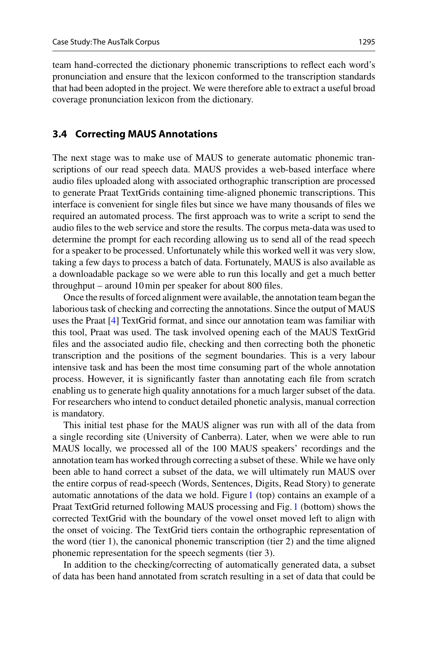team hand-corrected the dictionary phonemic transcriptions to reflect each word's pronunciation and ensure that the lexicon conformed to the transcription standards that had been adopted in the project. We were therefore able to extract a useful broad coverage pronunciation lexicon from the dictionary.

#### **3.4 Correcting MAUS Annotations**

The next stage was to make use of MAUS to generate automatic phonemic transcriptions of our read speech data. MAUS provides a web-based interface where audio files uploaded along with associated orthographic transcription are processed to generate Praat TextGrids containing time-aligned phonemic transcriptions. This interface is convenient for single files but since we have many thousands of files we required an automated process. The first approach was to write a script to send the audio files to the web service and store the results. The corpus meta-data was used to determine the prompt for each recording allowing us to send all of the read speech for a speaker to be processed. Unfortunately while this worked well it was very slow, taking a few days to process a batch of data. Fortunately, MAUS is also available as a downloadable package so we were able to run this locally and get a much better throughput – around 10 min per speaker for about 800 files.

Once the results of forced alignment were available, the annotation team began the laborious task of checking and correcting the annotations. Since the output of MAUS uses the Praat [4] TextGrid format, and since our annotation team was familiar with this tool, Praat was used. The task involved opening each of the MAUS TextGrid files and the associated audio file, checking and then correcting both the phonetic transcription and the positions of the segment boundaries. This is a very labour intensive task and has been the most time consuming part of the whole annotation process. However, it is significantly faster than annotating each file from scratch enabling us to generate high quality annotations for a much larger subset of the data. For researchers who intend to conduct detailed phonetic analysis, manual correction is mandatory.

This initial test phase for the MAUS aligner was run with all of the data from a single recording site (University of Canberra). Later, when we were able to run MAUS locally, we processed all of the 100 MAUS speakers' recordings and the annotation team has worked through correcting a subset of these. While we have only been able to hand correct a subset of the data, we will ultimately run MAUS over the entire corpus of read-speech (Words, Sentences, Digits, Read Story) to generate automatic annotations of the data we hold. Figure 1 (top) contains an example of a Praat TextGrid returned following MAUS processing and Fig. 1 (bottom) shows the corrected TextGrid with the boundary of the vowel onset moved left to align with the onset of voicing. The TextGrid tiers contain the orthographic representation of the word (tier 1), the canonical phonemic transcription (tier 2) and the time aligned phonemic representation for the speech segments (tier 3).

In addition to the checking/correcting of automatically generated data, a subset of data has been hand annotated from scratch resulting in a set of data that could be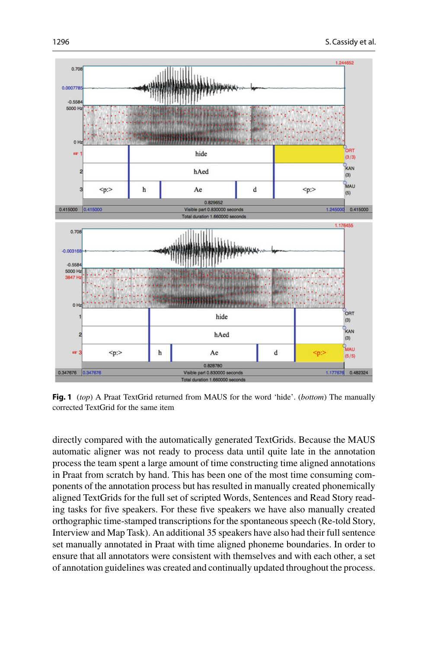

**Fig. 1** (*top*) A Praat TextGrid returned from MAUS for the word 'hide'. (*bottom*) The manually corrected TextGrid for the same item

directly compared with the automatically generated TextGrids. Because the MAUS automatic aligner was not ready to process data until quite late in the annotation process the team spent a large amount of time constructing time aligned annotations in Praat from scratch by hand. This has been one of the most time consuming components of the annotation process but has resulted in manually created phonemically aligned TextGrids for the full set of scripted Words, Sentences and Read Story reading tasks for five speakers. For these five speakers we have also manually created orthographic time-stamped transcriptions for the spontaneous speech (Re-told Story, Interview and Map Task). An additional 35 speakers have also had their full sentence set manually annotated in Praat with time aligned phoneme boundaries. In order to ensure that all annotators were consistent with themselves and with each other, a set of annotation guidelines was created and continually updated throughout the process.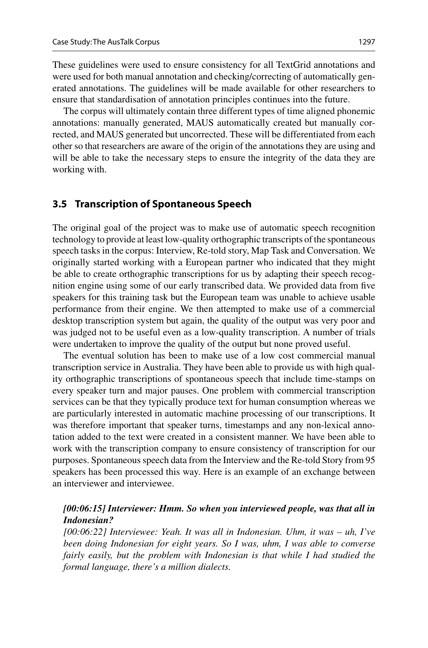These guidelines were used to ensure consistency for all TextGrid annotations and were used for both manual annotation and checking/correcting of automatically generated annotations. The guidelines will be made available for other researchers to ensure that standardisation of annotation principles continues into the future.

The corpus will ultimately contain three different types of time aligned phonemic annotations: manually generated, MAUS automatically created but manually corrected, and MAUS generated but uncorrected. These will be differentiated from each other so that researchers are aware of the origin of the annotations they are using and will be able to take the necessary steps to ensure the integrity of the data they are working with.

## **3.5 Transcription of Spontaneous Speech**

The original goal of the project was to make use of automatic speech recognition technology to provide at least low-quality orthographic transcripts of the spontaneous speech tasks in the corpus: Interview, Re-told story, Map Task and Conversation. We originally started working with a European partner who indicated that they might be able to create orthographic transcriptions for us by adapting their speech recognition engine using some of our early transcribed data. We provided data from five speakers for this training task but the European team was unable to achieve usable performance from their engine. We then attempted to make use of a commercial desktop transcription system but again, the quality of the output was very poor and was judged not to be useful even as a low-quality transcription. A number of trials were undertaken to improve the quality of the output but none proved useful.

The eventual solution has been to make use of a low cost commercial manual transcription service in Australia. They have been able to provide us with high quality orthographic transcriptions of spontaneous speech that include time-stamps on every speaker turn and major pauses. One problem with commercial transcription services can be that they typically produce text for human consumption whereas we are particularly interested in automatic machine processing of our transcriptions. It was therefore important that speaker turns, timestamps and any non-lexical annotation added to the text were created in a consistent manner. We have been able to work with the transcription company to ensure consistency of transcription for our purposes. Spontaneous speech data from the Interview and the Re-told Story from 95 speakers has been processed this way. Here is an example of an exchange between an interviewer and interviewee.

## *[00:06:15] Interviewer: Hmm. So when you interviewed people, was that all in Indonesian?*

*[00:06:22] Interviewee: Yeah. It was all in Indonesian. Uhm, it was – uh, I've been doing Indonesian for eight years. So I was, uhm, I was able to converse fairly easily, but the problem with Indonesian is that while I had studied the formal language, there's a million dialects.*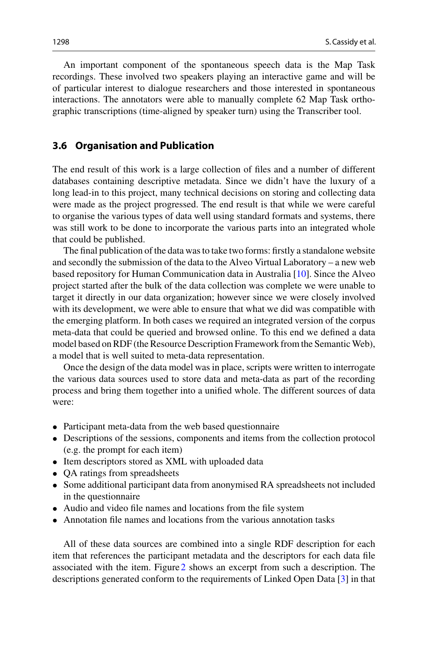An important component of the spontaneous speech data is the Map Task recordings. These involved two speakers playing an interactive game and will be of particular interest to dialogue researchers and those interested in spontaneous interactions. The annotators were able to manually complete 62 Map Task orthographic transcriptions (time-aligned by speaker turn) using the Transcriber tool.

#### **3.6 Organisation and Publication**

The end result of this work is a large collection of files and a number of different databases containing descriptive metadata. Since we didn't have the luxury of a long lead-in to this project, many technical decisions on storing and collecting data were made as the project progressed. The end result is that while we were careful to organise the various types of data well using standard formats and systems, there was still work to be done to incorporate the various parts into an integrated whole that could be published.

The final publication of the data was to take two forms: firstly a standalone website and secondly the submission of the data to the Alveo Virtual Laboratory – a new web based repository for Human Communication data in Australia [10]. Since the Alveo project started after the bulk of the data collection was complete we were unable to target it directly in our data organization; however since we were closely involved with its development, we were able to ensure that what we did was compatible with the emerging platform. In both cases we required an integrated version of the corpus meta-data that could be queried and browsed online. To this end we defined a data model based on RDF (the Resource Description Framework from the Semantic Web), a model that is well suited to meta-data representation.

Once the design of the data model was in place, scripts were written to interrogate the various data sources used to store data and meta-data as part of the recording process and bring them together into a unified whole. The different sources of data were:

- Participant meta-data from the web based questionnaire
- Descriptions of the sessions, components and items from the collection protocol (e.g. the prompt for each item)
- Item descriptors stored as XML with uploaded data
- QA ratings from spreadsheets
- Some additional participant data from anonymised RA spreadsheets not included in the questionnaire
- Audio and video file names and locations from the file system
- Annotation file names and locations from the various annotation tasks

All of these data sources are combined into a single RDF description for each item that references the participant metadata and the descriptors for each data file associated with the item. Figure 2 shows an excerpt from such a description. The descriptions generated conform to the requirements of Linked Open Data [3] in that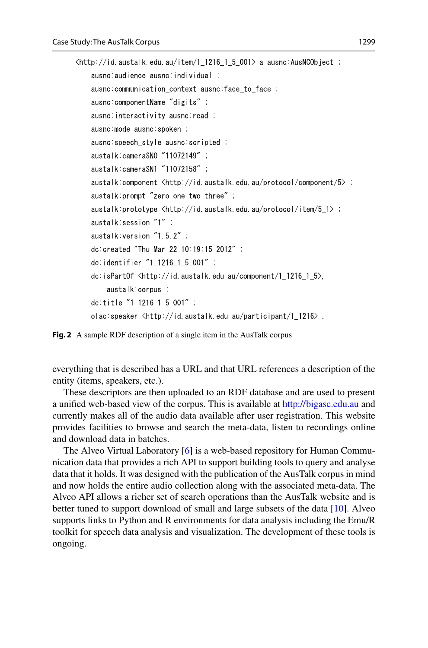```
<http://id.austalk.edu.au/item/1_1216_1_5_001> a ausnc:AusNCObject ;
ausnc:audience ausnc:individual ;
ausnc:communication_context ausnc:face_to_face ;
ausnc: componentName "digits";
ausnc:interactivity ausnc:read ;
ausnc:mode ausnc:spoken ;
ausnc: speech style ausnc: scripted;
austalk: cameraSNO "11072149" ;
austalk:cameraSN1 "11072158" ;
austalk:component <http://id.austalk.edu.au/protocol/component/5> ;
austalk: prompt "zero one two three" ;
austalk: prototype <http://id.austalk.edu.au/protocol/item/5_1> ;
austalk:session "1" ;
austalk: version "1 5 2" :
dc:created "Thu Mar 22 10:19:15 2012" ;
dc:identifier "1_1216_1_5_001";
dc:isPartOf <h>thtp://id. austalk.edu. au/component/1_1216_1_5),austalk:corpus ;
dc:title "1_1216_1_5_001";
olac:speaker <http://id.austalk.edu.au/participant/1_1216>.
```
**Fig. 2** A sample RDF description of a single item in the AusTalk corpus

everything that is described has a URL and that URL refer[ences](http://bigasc.edu.au) [a](http://bigasc.edu.au) [description](http://bigasc.edu.au) [of](http://bigasc.edu.au) the entity (items, speakers, etc.).

These descriptors are then uploaded to an RDF database and are used to present a unified web-based view of the corpus. This is available at http://bigasc.edu.au and currently makes all of the audio data available after user registration. This website provides facilities to browse and search the meta-data, listen to recordings online and download data in batches.

The Alveo Virtual Laboratory [6] is a web-based repository for Human Communication data that provides a rich API to support building tools to query and analyse data that it holds. It was designed with the publication of the AusTalk corpus in mind and now holds the entire audio collection along with the associated meta-data. The Alveo API allows a richer set of search operations than the AusTalk website and is better tuned to support download of small and large subsets of the data [10]. Alveo supports links to Python and R environments for data analysis including the Emu/R toolkit for speech data analysis and visualization. The development of these tools is ongoing.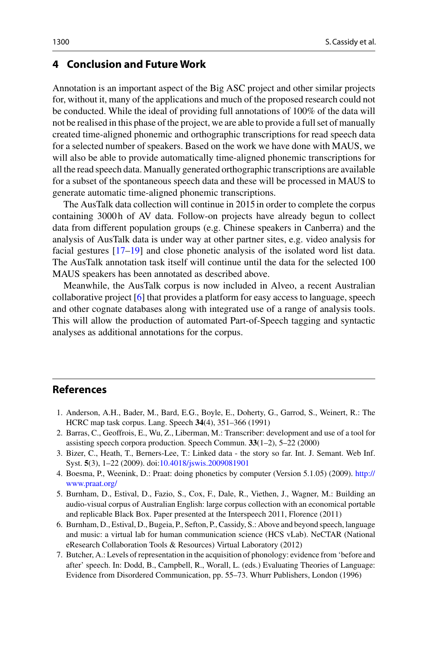# **4 Conclusion and Future Work**

Annotation is an important aspect of the Big ASC project and other similar projects for, without it, many of the applications and much of the proposed research could not be conducted. While the ideal of providing full annotations of 100% of the data will not be realised in this phase of the project, we are able to provide a full set of manually created time-aligned phonemic and orthographic transcriptions for read speech data for a selected number of speakers. Based on the work we have done with MAUS, we will also be able to provide automatically time-aligned phonemic transcriptions for all the read speech data. Manually generated orthographic transcriptions are available for a subset of the spontaneous speech data and these will be processed in MAUS to generate automatic time-aligned phonemic transcriptions.

The AusTalk data collection will continue in 2015 in order to complete the corpus containing 3000 h of AV data. Follow-on projects have already begun to collect data from different population groups (e.g. Chinese speakers in Canberra) and the analysis of AusTalk data is under way at other partner sites, e.g. video analysis for facial gestures [17–19] and close phonetic analysis of the isolated word list data. The AusTalk annotation task itself will continue until the data for the selected 100 MAUS speakers has been annotated as described above.

Meanwhile, the AusTalk corpus is now included in Alveo, a recent Australian collaborative project [6] that provides a platform for easy access to language, speech and other cognate databases along with integrated use of a range of analysis tools. This will allow the production of automated Part-of-Speech tagging and syntactic analyses as additional annotations for the corpus.

### **References**

- 1. Anderson, A.H., Bader, M., Bard, E.G., Boyle, E., Doherty, G., Garrod, S., Weinert, R.: The HCRC map task corpus. Lang. Speech **34**(4), 351–366 (1991)
- 2. Barras, C., Geoffrois, E., W[u, Z., Liberman, M.: Transcri](http://dx.doi.org/10.4018/jswis.2009081901)ber: development and use of a tool for assisting speech corpora production. Speech Commun. **33**(1–2), 5–22 (2000)
- 3. [Bizer, C., Heath](http://www.praat.org/), T., Berners-Lee, T.: Linked data the story so far. Int. J. Semant. W[eb](http://www.praat.org/) [Inf.](http://www.praat.org/) Syst. **5**(3), 1–22 (2009). doi:10.4018/jswis.2009081901
- 4. Boesma, P., Weenink, D.: Praat: doing phonetics by computer (Version 5.1.05) (2009). http:// www.praat.org/
- 5. Burnham, D., Estival, D., Fazio, S., Cox, F., Dale, R., Viethen, J., Wagner, M.: Building an audio-visual corpus of Australian English: large corpus collection with an economical portable and replicable Black Box. Paper presented at the Interspeech 2011, Florence (2011)
- 6. Burnham, D., Estival, D., Bugeia, P., Sefton, P., Cassidy, S.: Above and beyond speech, language and music: a virtual lab for human communication science (HCS vLab). NeCTAR (National eResearch Collaboration Tools & Resources) Virtual Laboratory (2012)
- 7. Butcher, A.: Levels of representation in the acquisition of phonology: evidence from 'before and after' speech. In: Dodd, B., Campbell, R., Worall, L. (eds.) Evaluating Theories of Language: Evidence from Disordered Communication, pp. 55–73. Whurr Publishers, London (1996)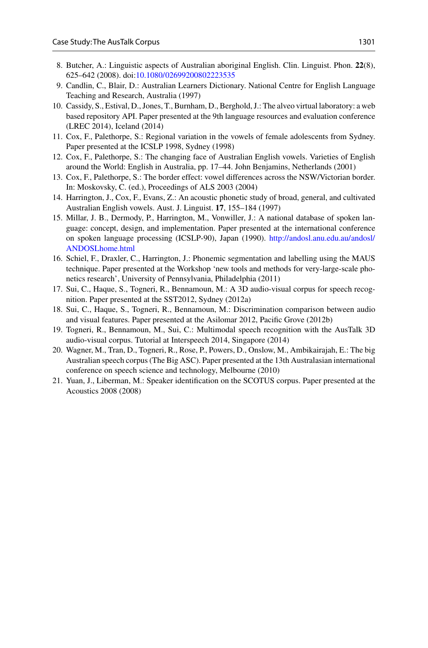- 8. Butcher, A.: Linguistic aspects of Australian aboriginal English. Clin. Linguist. Phon. **22**(8), 625–642 (2008). doi:10.1080/02699200802223535
- 9. Candlin, C., Blair, D.: Australian Learners Dictionary. National Centre for English Language Teaching and Research, Australia (1997)
- 10. Cassidy, S., Estival, D., Jones, T., Burnham, D., Berghold, J.: The alveo virtual laboratory: a web based repository API. Paper presented at the 9th language resources and evaluation conference (LREC 2014), Iceland (2014)
- 11. Cox, F., Palethorpe, S.: Regional variation in the vowels of female adolescents from Sydney. Paper presented at the ICSLP 1998, Sydney (1998)
- 12. Cox, F., Palethorpe, S.: The changing face of Australian English vowels. Varieties of English around the World: English in Australia, pp. 17–44. John Benjamins, Netherlands (2001)
- 13. Cox, F., Palethorpe, S.: The border effect: vowel differences across the NSW/Victorian border. In: Moskovsky, C. (ed.), Proceedings of ALS 2003 (2004)
- 14. Harrington, J., Cox, F., Evans, Z.: An acoustic phonetic study of broad, general, and cultivated Australian English vowels. Aust. J. Linguist. **17**, 155–184 (1997)
- 15. [Millar, J. B., Dermod](http://andosl.anu.edu.au/andosl/ANDOSLhome.html)y, P., Harrington, M., Vonwiller, J.: A [national](http://andosl.anu.edu.au/andosl/ANDOSLhome.html) [database](http://andosl.anu.edu.au/andosl/ANDOSLhome.html) [of](http://andosl.anu.edu.au/andosl/ANDOSLhome.html) [spoken](http://andosl.anu.edu.au/andosl/ANDOSLhome.html) [lan](http://andosl.anu.edu.au/andosl/ANDOSLhome.html)guage: concept, design, and implementation. Paper presented at the international conference on spoken language processing (ICSLP-90), Japan (1990). http://andosl.anu.edu.au/andosl/ ANDOSLhome.html
- 16. Schiel, F., Draxler, C., Harrington, J.: Phonemic segmentation and labelling using the MAUS technique. Paper presented at the Workshop 'new tools and methods for very-large-scale phonetics research', University of Pennsylvania, Philadelphia (2011)
- 17. Sui, C., Haque, S., Togneri, R., Bennamoun, M.: A 3D audio-visual corpus for speech recognition. Paper presented at the SST2012, Sydney (2012a)
- 18. Sui, C., Haque, S., Togneri, R., Bennamoun, M.: Discrimination comparison between audio and visual features. Paper presented at the Asilomar 2012, Pacific Grove (2012b)
- 19. Togneri, R., Bennamoun, M., Sui, C.: Multimodal speech recognition with the AusTalk 3D audio-visual corpus. Tutorial at Interspeech 2014, Singapore (2014)
- 20. Wagner, M., Tran, D., Togneri, R., Rose, P., Powers, D., Onslow, M., Ambikairajah, E.: The big Australian speech corpus (The Big ASC). Paper presented at the 13th Australasian international conference on speech science and technology, Melbourne (2010)
- 21. Yuan, J., Liberman, M.: Speaker identification on the SCOTUS corpus. Paper presented at the Acoustics 2008 (2008)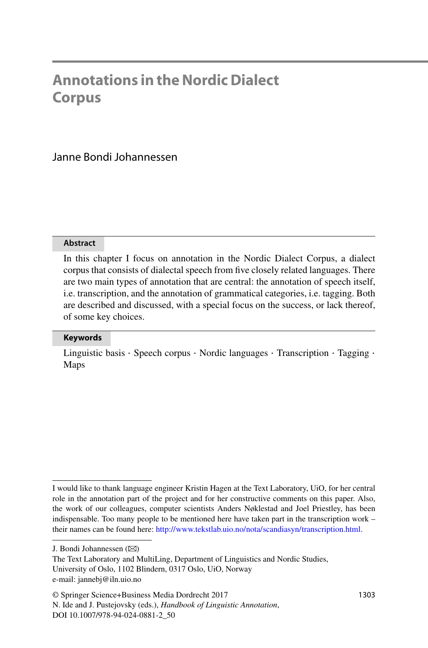# **Annotations in the Nordic Dialect Corpus**

Janne Bondi Johannessen

#### **Abstract**

In this chapter I focus on annotation in the Nordic Dialect Corpus, a dialect corpus that consists of dialectal speech from five closely related languages. There are two main types of annotation that are central: the annotation of speech itself, i.e. transcription, and the annotation of grammatical categories, i.e. tagging. Both are described and discussed, with a special focus on the success, or lack thereof, of some key choices.

#### **Keywords**

Linguistic basis · Speech corpus · Nordic languages · Transcription · Tagging · Maps

I would like to thank language engineer Kristin Hagen at the Text Laboratory, UiO, for her central role in the annotation part of t[he project and for her constructive comments on this paper. A](http://www.tekstlab.uio.no/nota/scandiasyn/transcription.html)lso, the work of our colleagues, computer scientists Anders Nøklestad and Joel Priestley, has been indispensable. Too many people to be mentioned here have taken part in the transcription work – their names can be found here: http://www.tekstlab.uio.no/nota/scandiasyn/transcription.html.

J. Bondi Johannessen  $(\boxtimes)$ 

The Text Laboratory and MultiLing, Department of Linguistics and Nordic Studies, University of Oslo, 1102 Blindern, 0317 Oslo, UiO, Norway e-mail: jannebj@iln.uio.no

<sup>©</sup> Springer Science+Business Media Dordrecht 2017 N. Ide and J. Pustejovsky (eds.), *Handbook of Linguistic Annotation*, DOI 10.1007/978-94-024-0881-2\_50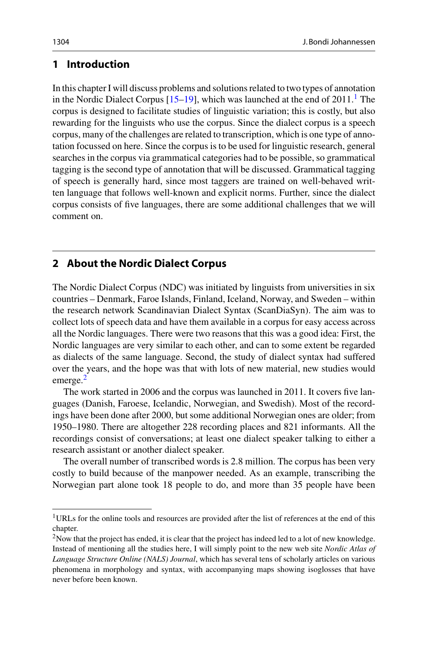## **1 Introduction**

In this chapter I will discuss problems and solutions related to two types of annotation in the Nordic Dialect Corpus  $[15–19]$ , which was launched at the end of  $2011<sup>1</sup>$ . The corpus is designed to facilitate studies of linguistic variation; this is costly, but also rewarding for the linguists who use the corpus. Since the dialect corpus is a speech corpus, many of the challenges are related to transcription, which is one type of annotation focussed on here. Since the corpus is to be used for linguistic research, general searches in the corpus via grammatical categories had to be possible, so grammatical tagging is the second type of annotation that will be discussed. Grammatical tagging of speech is generally hard, since most taggers are trained on well-behaved written language that follows well-known and explicit norms. Further, since the dialect corpus consists of five languages, there are some additional challenges that we will comment on.

## **2 About the Nordic Dialect Corpus**

The Nordic Dialect Corpus (NDC) was initiated by linguists from universities in six countries – Denmark, Faroe Islands, Finland, Iceland, Norway, and Sweden – within the research network Scandinavian Dialect Syntax (ScanDiaSyn). The aim was to collect lots of speech data and have them available in a corpus for easy access across all the Nordic languages. There were two reasons that this was a good idea: First, the Nordic languages are very similar to each other, and can to some extent be regarded as dialects of the same language. Second, the study of dialect syntax had suffered over the years, and the hope was that with lots of new material, new studies would emerge.<sup>2</sup>

The work started in 2006 and the corpus was launched in 2011. It covers five languages (Danish, Faroese, Icelandic, Norwegian, and Swedish). Most of the recordings have been done after 2000, but some additional Norwegian ones are older; from 1950–1980. There are altogether 228 recording places and 821 informants. All the recordings consist of conversations; at least one dialect speaker talking to either a research assistant or another dialect speaker.

The overall number of transcribed words is 2.8 million. The corpus has been very costly to build because of the manpower needed. As an example, transcribing the Norwegian part alone took 18 people to do, and more than 35 people have been

<sup>&</sup>lt;sup>1</sup>URLs for the online tools and resources are provided after the list of references at the end of this chapter.

<sup>&</sup>lt;sup>2</sup>Now that the project has ended, it is clear that the project has indeed led to a lot of new knowledge. Instead of mentioning all the studies here, I will simply point to the new web site *Nordic Atlas of Language Structure Online (NALS) Journal*, which has several tens of scholarly articles on various phenomena in morphology and syntax, with accompanying maps showing isoglosses that have never before been known.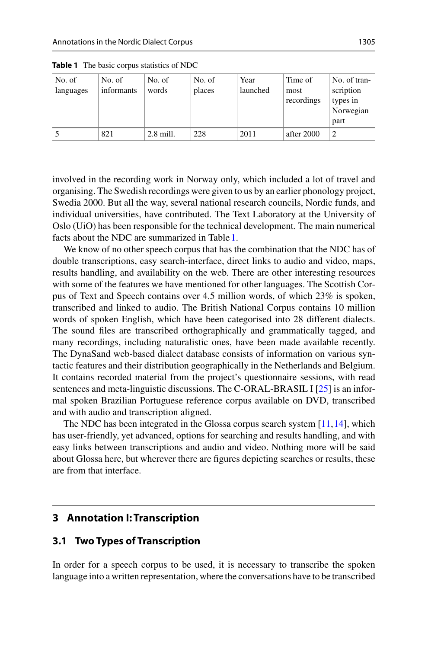| No. of    | No. of     | No. of      | No. of | Year     | Time of    | No. of tran-   |
|-----------|------------|-------------|--------|----------|------------|----------------|
| languages | informants | words       | places | launched | most       | scription      |
|           |            |             |        |          | recordings | types in       |
|           |            |             |        |          |            | Norwegian      |
|           |            |             |        |          |            | part           |
|           | 821        | $2.8$ mill. | 228    | 2011     | after 2000 | $\overline{c}$ |

**Table 1** The basic corpus statistics of NDC

involved in the recording work in Norway only, which included a lot of travel and organising. The Swedish recordings were given to us by an earlier phonology project, Swedia 2000. But all the way, several national research councils, Nordic funds, and individual universities, have contributed. The Text Laboratory at the University of Oslo (UiO) has been responsible for the technical development. The main numerical facts about the NDC are summarized in Table 1.

We know of no other speech corpus that has the combination that the NDC has of double transcriptions, easy search-interface, direct links to audio and video, maps, results handling, and availability on the web. There are other interesting resources with some of the features we have mentioned for other languages. The Scottish Corpus of Text and Speech contains over 4.5 million words, of which 23% is spoken, transcribed and linked to audio. The British National Corpus contains 10 million words of spoken English, which have been categorised into 28 different dialects. The sound files are transcribed orthographically and grammatically tagged, and many recordings, including naturalistic ones, have been made available recently. The DynaSand web-based dialect database consists of information on various syntactic features and their distribution geographically in the Netherlands and Belgium. It contains recorded material from the project's questionnaire sessions, with read sentences and meta-linguistic discussions. The C-ORAL-BRASIL I [25] is an informal spoken Brazilian Portuguese reference corpus available on DVD, transcribed and with audio and transcription aligned.

The NDC has been integrated in the Glossa corpus search system [11, 14], which has user-friendly, yet advanced, options for searching and results handling, and with easy links between transcriptions and audio and video. Nothing more will be said about Glossa here, but wherever there are figures depicting searches or results, these are from that interface.

## **3 Annotation I: Transcription**

## **3.1 Two Types of Transcription**

In order for a speech corpus to be used, it is necessary to transcribe the spoken language into a written representation, where the conversations have to be transcribed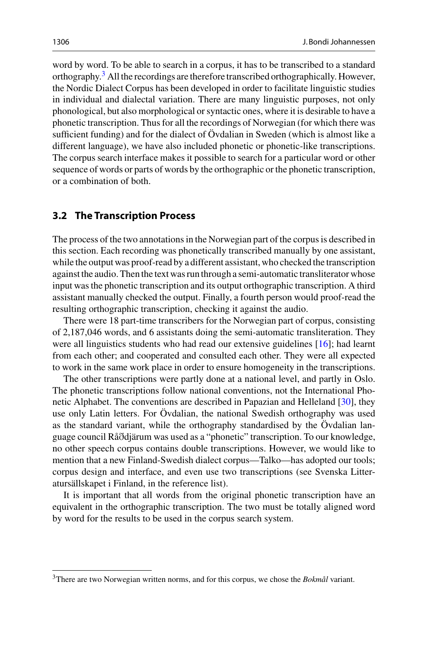word by word. To be able to search in a corpus, it has to be transcribed to a standard orthography.3 All the recordings are therefore transcribed orthographically. However, the Nordic Dialect Corpus has been developed in order to facilitate linguistic studies in individual and dialectal variation. There are many linguistic purposes, not only phonological, but also morphological or syntactic ones, where it is desirable to have a phonetic transcription. Thus for all the recordings of Norwegian (for which there was sufficient funding) and for the dialect of Övdalian in Sweden (which is almost like a different language), we have also included phonetic or phonetic-like transcriptions. The corpus search interface makes it possible to search for a particular word or other sequence of words or parts of words by the orthographic or the phonetic transcription, or a combination of both.

## **3.2 The Transcription Process**

The process of the two annotations in the Norwegian part of the corpus is described in this section. Each recording was phonetically transcribed manually by one assistant, while the output was proof-read by a different assistant, who checked the transcription against the audio. Then the text was run through a semi-automatic transliterator whose input was the phonetic transcription and its output orthographic transcription. A third assistant manually checked the output. Finally, a fourth person would proof-read the resulting orthographic transcription, checking it against the audio.

There were 18 part-time transcribers for the Norwegian part of corpus, consisting of 2,187,046 words, and 6 assistants doing the semi-automatic transliteration. They were all linguistics students who had read our extensive guidelines [16]; had learnt from each other; and cooperated and consulted each other. They were all expected to work in the same work place in order to ensure homogeneity in the transcriptions.

The other transcriptions were partly done at a national level, and partly in Oslo. The phonetic transcriptions follow national conventions, not the International Phonetic Alphabet. The conventions are described in Papazian and Helleland [30], they use only Latin letters. For Övdalian, the national Swedish orthography was used as the standard variant, while the orthography standardised by the Övdalian language council Råðdjärum was used as a "phonetic" transcription. To our knowledge, no other speech corpus contains double transcriptions. However, we would like to mention that a new Finland-Swedish dialect corpus—Talko—has adopted our tools; corpus design and interface, and even use two transcriptions (see Svenska Litteratursällskapet i Finland, in the reference list).

It is important that all words from the original phonetic transcription have an equivalent in the orthographic transcription. The two must be totally aligned word by word for the results to be used in the corpus search system.

<sup>3</sup>There are two Norwegian written norms, and for this corpus, we chose the *Bokmål* variant.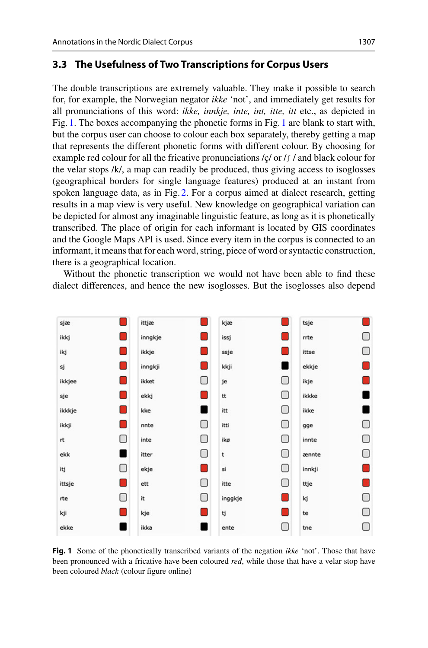## **3.3 The Usefulness of Two Transcriptions for Corpus Users**

The double transcriptions are extremely valuable. They make it possible to search for, for example, the Norwegian negator *ikke* 'not', and immediately get results for all pronunciations of this word: *ikke, innkje, inte, int, itte, itt* etc., as depicted in Fig. 1. The boxes accompanying the phonetic forms in Fig. 1 are blank to start with, but the corpus user can choose to colour each box separately, thereby getting a map that represents the different phonetic forms with different colour. By choosing for example red colour for all the fricative pronunciations  $\frac{\ln \sqrt{t}}{\ln \sqrt{t}}$  and black colour for the velar stops /k/, a map can readily be produced, thus giving access to isoglosses (geographical borders for single language features) produced at an instant from spoken language data, as in Fig. 2. For a corpus aimed at dialect research, getting results in a map view is very useful. New knowledge on geographical variation can be depicted for almost any imaginable linguistic feature, as long as it is phonetically transcribed. The place of origin for each informant is located by GIS coordinates and the Google Maps API is used. Since every item in the corpus is connected to an informant, it means that for each word, string, piece of word or syntactic construction, there is a geographical location.

Without the phonetic transcription we would not have been able to find these dialect differences, and hence the new isoglosses. But the isoglosses also depend



**Fig. 1** Some of the phonetically transcribed variants of the negation *ikke* 'not'. Those that have been pronounced with a fricative have been coloured *red*, while those that have a velar stop have been coloured *black* (colour figure online)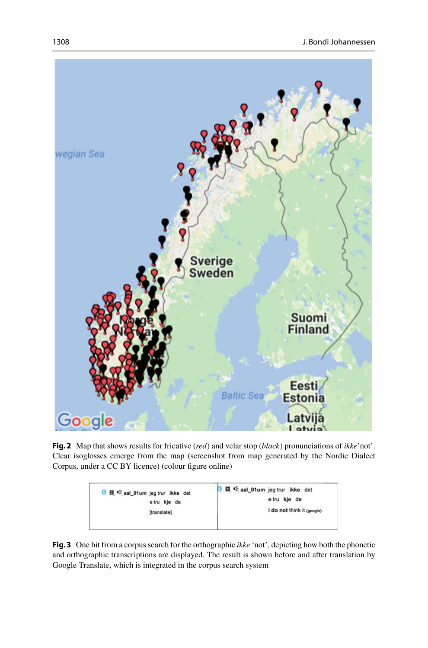

**Fig. 2** Map that shows results for fricative (*red*) and velar stop (*black*) pronunciations of *ikke*'not'. Clear isoglosses emerge from the map (screenshot from map generated by the Nordic Dialect Corpus, under a CC BY licence) (colour figure online)



**Fig.3** One hit from a corpus search for the orthographic *ikke* 'not', depicting how both the phonetic and orthographic transcriptions are displayed. The result is shown before and after translation by Google Translate, which is integrated in the corpus search system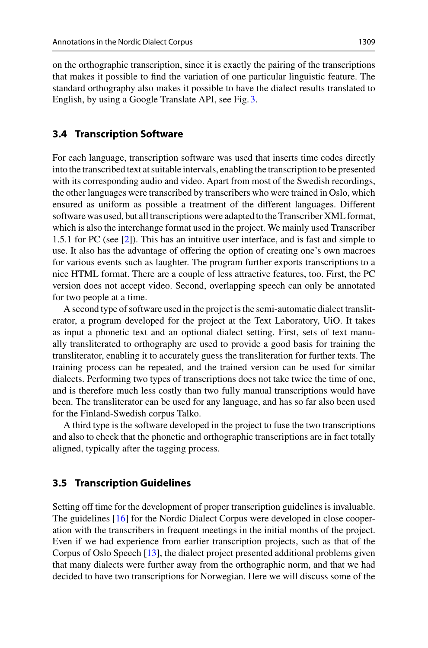on the orthographic transcription, since it is exactly the pairing of the transcriptions that makes it possible to find the variation of one particular linguistic feature. The standard orthography also makes it possible to have the dialect results translated to English, by using a Google Translate API, see Fig. 3.

#### **3.4 Transcription Software**

For each language, transcription software was used that inserts time codes directly into the transcribed text at suitable intervals, enabling the transcription to be presented with its corresponding audio and video. Apart from most of the Swedish recordings, the other languages were transcribed by transcribers who were trained in Oslo, which ensured as uniform as possible a treatment of the different languages. Different software was used, but all transcriptions were adapted to the Transcriber XML format, which is also the interchange format used in the project. We mainly used Transcriber 1.5.1 for PC (see [2]). This has an intuitive user interface, and is fast and simple to use. It also has the advantage of offering the option of creating one's own macroes for various events such as laughter. The program further exports transcriptions to a nice HTML format. There are a couple of less attractive features, too. First, the PC version does not accept video. Second, overlapping speech can only be annotated for two people at a time.

A second type of software used in the project is the semi-automatic dialect transliterator, a program developed for the project at the Text Laboratory, UiO. It takes as input a phonetic text and an optional dialect setting. First, sets of text manually transliterated to orthography are used to provide a good basis for training the transliterator, enabling it to accurately guess the transliteration for further texts. The training process can be repeated, and the trained version can be used for similar dialects. Performing two types of transcriptions does not take twice the time of one, and is therefore much less costly than two fully manual transcriptions would have been. The transliterator can be used for any language, and has so far also been used for the Finland-Swedish corpus Talko.

A third type is the software developed in the project to fuse the two transcriptions and also to check that the phonetic and orthographic transcriptions are in fact totally aligned, typically after the tagging process.

#### **3.5 Transcription Guidelines**

Setting off time for the development of proper transcription guidelines is invaluable. The guidelines [16] for the Nordic Dialect Corpus were developed in close cooperation with the transcribers in frequent meetings in the initial months of the project. Even if we had experience from earlier transcription projects, such as that of the Corpus of Oslo Speech [13], the dialect project presented additional problems given that many dialects were further away from the orthographic norm, and that we had decided to have two transcriptions for Norwegian. Here we will discuss some of the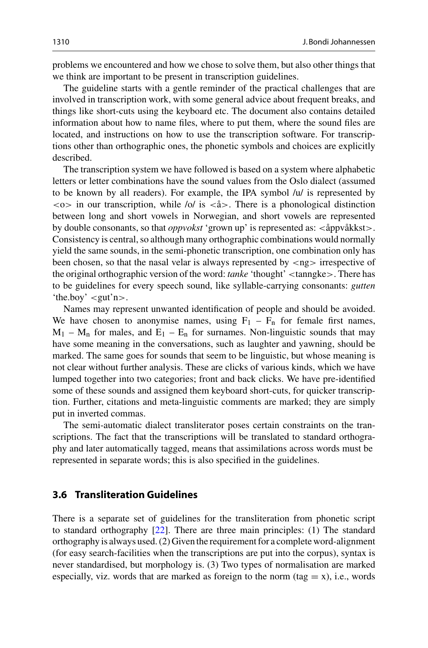problems we encountered and how we chose to solve them, but also other things that we think are important to be present in transcription guidelines.

The guideline starts with a gentle reminder of the practical challenges that are involved in transcription work, with some general advice about frequent breaks, and things like short-cuts using the keyboard etc. The document also contains detailed information about how to name files, where to put them, where the sound files are located, and instructions on how to use the transcription software. For transcriptions other than orthographic ones, the phonetic symbols and choices are explicitly described.

The transcription system we have followed is based on a system where alphabetic letters or letter combinations have the sound values from the Oslo dialect (assumed to be known by all readers). For example, the IPA symbol /u/ is represented by *<*o*>* in our transcription, while /o/ is *<*å*>*. There is a phonological distinction between long and short vowels in Norwegian, and short vowels are represented by double consonants, so that *oppvokst* 'grown up' is represented as: *<*åppvåkkst*>*. Consistency is central, so although many orthographic combinations would normally yield the same sounds, in the semi-phonetic transcription, one combination only has been chosen, so that the nasal velar is always represented by *<*ng*>* irrespective of the original orthographic version of the word: *tanke* 'thought' *<*tanngke*>*. There has to be guidelines for every speech sound, like syllable-carrying consonants: *gutten* 'the.boy' *<*gut'n*>*.

Names may represent unwanted identification of people and should be avoided. We have chosen to anonymise names, using  $F_1 - F_n$  for female first names,  $M_1 - M_n$  for males, and  $E_1 - E_n$  for surnames. Non-linguistic sounds that may have some meaning in the conversations, such as laughter and yawning, should be marked. The same goes for sounds that seem to be linguistic, but whose meaning is not clear without further analysis. These are clicks of various kinds, which we have lumped together into two categories; front and back clicks. We have pre-identified some of these sounds and assigned them keyboard short-cuts, for quicker transcription. Further, citations and meta-linguistic comments are marked; they are simply put in inverted commas.

The semi-automatic dialect transliterator poses certain constraints on the transcriptions. The fact that the transcriptions will be translated to standard orthography and later automatically tagged, means that assimilations across words must be represented in separate words; this is also specified in the guidelines.

#### **3.6 Transliteration Guidelines**

There is a separate set of guidelines for the transliteration from phonetic script to standard orthography [22]. There are three main principles: (1) The standard orthography is always used. (2) Given the requirement for a complete word-alignment (for easy search-facilities when the transcriptions are put into the corpus), syntax is never standardised, but morphology is. (3) Two types of normalisation are marked especially, viz. words that are marked as foreign to the norm (tag  $= x$ ), i.e., words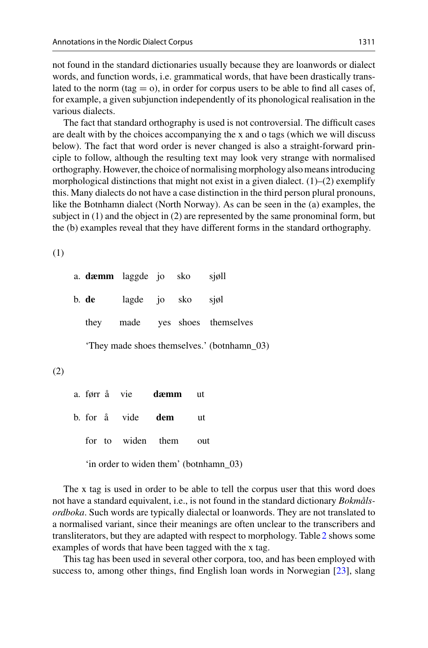not found in the standard dictionaries usually because they are loanwords or dialect words, and function words, i.e. grammatical words, that have been drastically translated to the norm (tag  $= 0$ ), in order for corpus users to be able to find all cases of, for example, a given subjunction independently of its phonological realisation in the various dialects.

The fact that standard orthography is used is not controversial. The difficult cases are dealt with by the choices accompanying the x and o tags (which we will discuss below). The fact that word order is never changed is also a straight-forward principle to follow, although the resulting text may look very strange with normalised orthography. However, the choice of normalising morphology also means introducing morphological distinctions that might not exist in a given dialect.  $(1)$ – $(2)$  exemplify this. Many dialects do not have a case distinction in the third person plural pronouns, like the Botnhamn dialect (North Norway). As can be seen in the (a) examples, the subject in (1) and the object in (2) are represented by the same pronominal form, but the (b) examples reveal that they have different forms in the standard orthography.

(1)

|  | a. dæmm laggde jo sko sjøll |  |                                |
|--|-----------------------------|--|--------------------------------|
|  | b. de lagde jo sko sjøl     |  |                                |
|  |                             |  | they made yes shoes themselves |

'They made shoes themselves.' (botnhamn\_03)

## (2)

a. førr å vie **dæmm** ut b. for å vide **dem** ut for to widen them out

'in order to widen them' (botnhamn\_03)

The x tag is used in order to be able to tell the corpus user that this word does not have a standard equivalent, i.e., is not found in the standard dictionary *Bokmålsordboka*. Such words are typically dialectal or loanwords. They are not translated to a normalised variant, since their meanings are often unclear to the transcribers and transliterators, but they are adapted with respect to morphology. Table 2 shows some examples of words that have been tagged with the x tag.

This tag has been used in several other corpora, too, and has been employed with success to, among other things, find English loan words in Norwegian [23], slang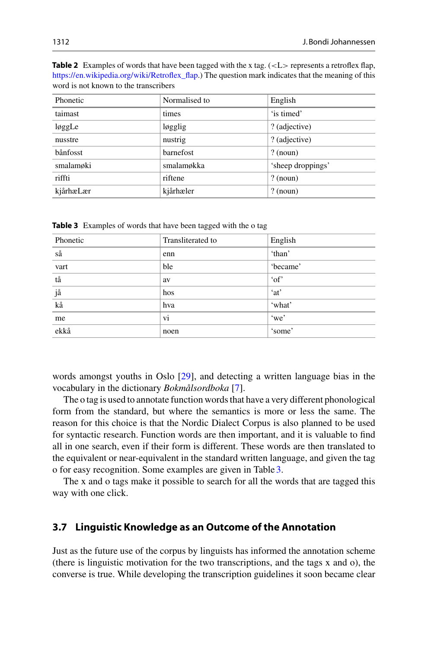| <b>Table 2</b> Examples of words that have been tagged with the x tag. $\langle \langle L \rangle$ represents a retroflex flap, |
|---------------------------------------------------------------------------------------------------------------------------------|
| https://en.wikipedia.org/wiki/Retroflex_flap.) The question mark indicates that the meaning of this                             |
| word is not known to the transcribers                                                                                           |

| Phonetic  | Normalised to | English           |
|-----------|---------------|-------------------|
| taimast   | times         | 'is timed'        |
| loggLe    | løgglig       | ? (adjective)     |
| nusstre   | nustrig       | ? (adjective)     |
| bånfosst  | barnefost     | $?$ (noun)        |
| smalamøki | smalamøkka    | 'sheep droppings' |
| riffti    | riftene       | $?$ (noun)        |
| kjårhæLær | kjårhæler     | ? (noun)          |

**Table 3** Examples of words that have been tagged with the o tag

| Phonetic | Transliterated to | English            |
|----------|-------------------|--------------------|
| så       | enn               | 'than'             |
| vart     | ble               | 'became'           |
| tå       | av                | $\circ$ of $\circ$ |
| jå       | hos               | at'                |
| kå       | hva               | 'what'             |
| me       | vi                | 'we'               |
| ekkå     | noen              | 'some'             |

words amongst youths in Oslo [29], and detecting a written language bias in the vocabulary in the dictionary *Bokmålsordboka* [7].

The o tag is used to annotate function words that have a very different phonological form from the standard, but where the semantics is more or less the same. The reason for this choice is that the Nordic Dialect Corpus is also planned to be used for syntactic research. Function words are then important, and it is valuable to find all in one search, even if their form is different. These words are then translated to the equivalent or near-equivalent in the standard written language, and given the tag o for easy recognition. Some examples are given in Table 3.

The x and o tags make it possible to search for all the words that are tagged this way with one click.

## **3.7 Linguistic Knowledge as an Outcome of the Annotation**

Just as the future use of the corpus by linguists has informed the annotation scheme (there is linguistic motivation for the two transcriptions, and the tags x and o), the converse is true. While developing the transcription guidelines it soon became clear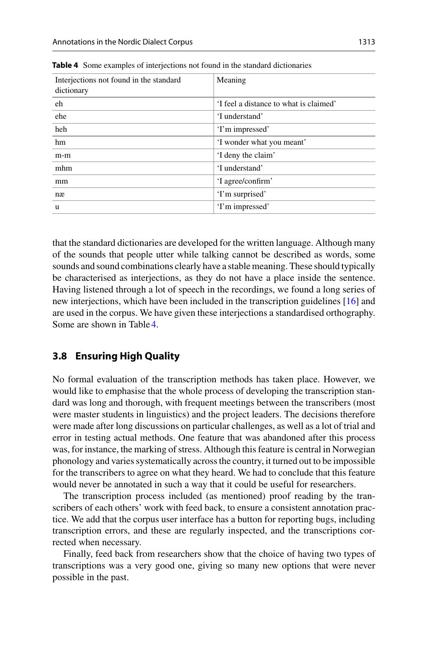| Interjections not found in the standard<br>dictionary | Meaning                                |
|-------------------------------------------------------|----------------------------------------|
| eh                                                    | 'I feel a distance to what is claimed' |
| ehe                                                   | 'I understand'                         |
| heh                                                   | 'I'm impressed'                        |
| hm                                                    | 'I wonder what you meant'              |
| m-m                                                   | 'I deny the claim'                     |
| mhm                                                   | 'I understand'                         |
| mm                                                    | 'I agree/confirm'                      |
| næ                                                    | 'I'm surprised'                        |
| u                                                     | 'I'm impressed'                        |

**Table 4** Some examples of interjections not found in the standard dictionaries

that the standard dictionaries are developed for the written language. Although many of the sounds that people utter while talking cannot be described as words, some sounds and sound combinations clearly have a stable meaning. These should typically be characterised as interjections, as they do not have a place inside the sentence. Having listened through a lot of speech in the recordings, we found a long series of new interjections, which have been included in the transcription guidelines [16] and are used in the corpus. We have given these interjections a standardised orthography. Some are shown in Table 4.

## **3.8 Ensuring High Quality**

No formal evaluation of the transcription methods has taken place. However, we would like to emphasise that the whole process of developing the transcription standard was long and thorough, with frequent meetings between the transcribers (most were master students in linguistics) and the project leaders. The decisions therefore were made after long discussions on particular challenges, as well as a lot of trial and error in testing actual methods. One feature that was abandoned after this process was, for instance, the marking of stress. Although this feature is central in Norwegian phonology and varies systematically across the country, it turned out to be impossible for the transcribers to agree on what they heard. We had to conclude that this feature would never be annotated in such a way that it could be useful for researchers.

The transcription process included (as mentioned) proof reading by the transcribers of each others' work with feed back, to ensure a consistent annotation practice. We add that the corpus user interface has a button for reporting bugs, including transcription errors, and these are regularly inspected, and the transcriptions corrected when necessary.

Finally, feed back from researchers show that the choice of having two types of transcriptions was a very good one, giving so many new options that were never possible in the past.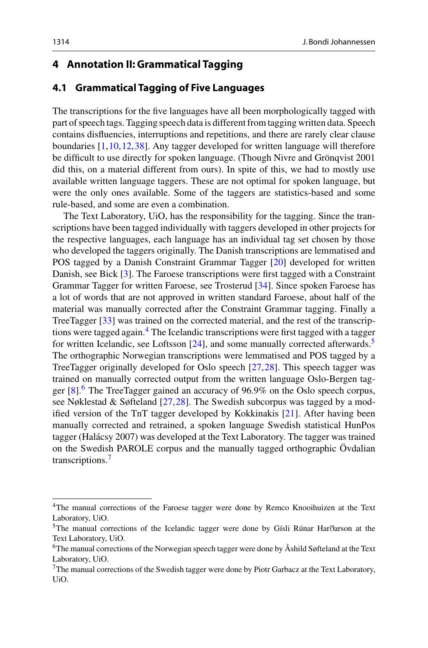## **4 Annotation II: Grammatical Tagging**

## **4.1 Grammatical Tagging of Five Languages**

The transcriptions for the five languages have all been morphologically tagged with part of speech tags. Tagging speech data is different from tagging written data. Speech contains disfluencies, interruptions and repetitions, and there are rarely clear clause boundaries [1,10,12,38]. Any tagger developed for written language will therefore be difficult to use directly for spoken language. (Though Nivre and Grönqvist 2001 did this, on a material different from ours). In spite of this, we had to mostly use available written language taggers. These are not optimal for spoken language, but were the only ones available. Some of the taggers are statistics-based and some rule-based, and some are even a combination.

The Text Laboratory, UiO, has the responsibility for the tagging. Since the transcriptions have been tagged individually with taggers developed in other projects for the respective languages, each language has an individual tag set chosen by those who developed the taggers originally. The Danish transcriptions are lemmatised and POS tagged by a Danish Constraint Grammar Tagger [20] developed for written Danish, see Bick [3]. The Faroese transcriptions were first tagged with a Constraint Grammar Tagger for written Faroese, see Trosterud [34]. Since spoken Faroese has a lot of words that are not approved in written standard Faroese, about half of the material was manually corrected after the Constraint Grammar tagging. Finally a TreeTagger [33] was trained on the corrected material, and the rest of the transcriptions were tagged again.<sup>4</sup> The Icelandic transcriptions were first tagged with a tagger for written Icelandic, see Loftsson  $[24]$ , and some manually corrected afterwards.<sup>5</sup> The orthographic Norwegian transcriptions were lemmatised and POS tagged by a TreeTagger originally developed for Oslo speech [27,28]. This speech tagger was trained on manually corrected output from the written language Oslo-Bergen tagger  $[8]$ .<sup>6</sup> The TreeTagger gained an accuracy of 96.9% on the Oslo speech corpus, see Nøklestad & Søfteland [27,28]. The Swedish subcorpus was tagged by a modified version of the TnT tagger developed by Kokkinakis [21]. After having been manually corrected and retrained, a spoken language Swedish statistical HunPos tagger (Halácsy 2007) was developed at the Text Laboratory. The tagger was trained on the Swedish PAROLE corpus and the manually tagged orthographic Övdalian transcriptions.7

<sup>4</sup>The manual corrections of the Faroese tagger were done by Remco Knooihuizen at the Text Laboratory, UiO.

<sup>5</sup>The manual corrections of the Icelandic tagger were done by Gísli Rúnar Harðarson at the Text Laboratory, UiO.

<sup>6</sup>The manual corrections of the Norwegian speech tagger were done by Åshild Søfteland at the Text Laboratory, UiO.

 $7$ The manual corrections of the Swedish tagger were done by Piotr Garbacz at the Text Laboratory, UiO.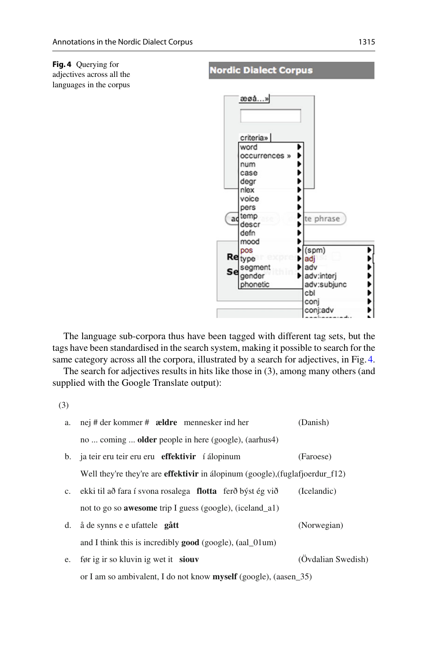

The language sub-corpora thus have been tagged with different tag sets, but the tags have been standardised in the search system, making it possible to search for the same category across all the corpora, illustrated by a search for adjectives, in Fig. 4.

The search for adjectives results in hits like those in (3), among many others (and supplied with the Google Translate output):

(3)

| a. | nej # der kommer # $\triangle$ <b>ældre</b> mennesker ind her                        | (Danish)           |
|----|--------------------------------------------------------------------------------------|--------------------|
|    | no  coming <b>older</b> people in here (google), (aarhus4)                           |                    |
|    | b. ja teir eru teir eru eru <b>effektivir</b> í álopinum                             | (Faroese)          |
|    | Well they're they're are <b>effektivir</b> in alopinum (google), (fuglafjoerdur f12) |                    |
|    | c. ekki til að fara í svona rosalega <b>flotta</b> ferð býst ég við                  | (Icelandic)        |
|    | not to go so <b>awesome</b> trip I guess (google), (iceland_a1)                      |                    |
|    | d. å de synns e e ufattele <b>gått</b>                                               | (Norwegian)        |
|    | and I think this is incredibly <b>good</b> (google), (aal $01$ um)                   |                    |
|    | e. før ig ir so kluvin ig wet it siouv                                               | (Ovdalian Swedish) |
|    |                                                                                      |                    |

or I am so ambivalent, I do not know **myself** (google), (aasen\_35)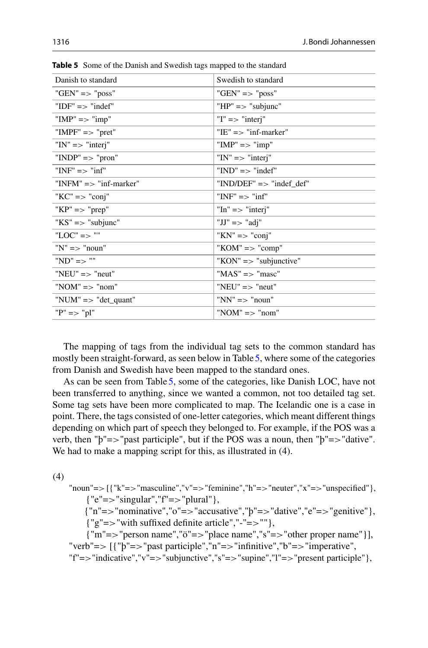| some of the Bumon and Bweding the property the bumon c |                                   |  |  |
|--------------------------------------------------------|-----------------------------------|--|--|
| Danish to standard                                     | Swedish to standard               |  |  |
| "GEN" $\Rightarrow$ "poss"                             | "GEN" $\Rightarrow$ "poss"        |  |  |
| " $IDF" => "indef"$                                    | "HP" $\Rightarrow$ "subjunc"      |  |  |
| " $IMP$ " => " $imp$ "                                 | $T = > "inter"$                   |  |  |
| "IMPF" $\Rightarrow$ "pret"                            | "IE" $\equiv$ > "inf-marker"      |  |  |
| $"IN" => "interi"$                                     | " $IMP$ " => " $imp$ "            |  |  |
| " $INDP" => "pron"$                                    | $"IN" => "interi"$                |  |  |
| " $INF" \implies "inf"$                                | " $IND" => "indef"$               |  |  |
| "INFM" $\equiv$ > "inf-marker"                         | " $IND/DEF"$ => "indef def"       |  |  |
| " $KC" \Rightarrow "coni"$                             | " $INF" \implies "inf"$           |  |  |
| " $KP'' => "prep"$                                     | $"In" => "interi"$                |  |  |
| " $KS''$ => "subjunc"                                  | " $JJ" \Rightarrow$ "adj"         |  |  |
| "LOC" => ""                                            | " $KN$ " => "conj"                |  |  |
| $"N" => "noun"$                                        | " $KOM" => "comp"$                |  |  |
| "ND" => ""                                             | "KON" $\Rightarrow$ "subjunctive" |  |  |
| "NEU" $\mathsf{S}$ => "neut"                           | " $MAS" => "masc"$                |  |  |
| " $NOM" => "nom"$                                      | "NEU" $\mathsf{S}$ => "neut"      |  |  |
| "NUM" $\Rightarrow$ "det_quant"                        | " $NN" \Rightarrow$ "noun"        |  |  |
| $"P" => "pl"$                                          | "NOM" $\Rightarrow$ "nom"         |  |  |
|                                                        |                                   |  |  |

**Table 5** Some of the Danish and Swedish tags mapped to the standard

The mapping of tags from the individual tag sets to the common standard has mostly been straight-forward, as seen below in Table 5, where some of the categories from Danish and Swedish have been mapped to the standard ones.

As can be seen from Table 5, some of the categories, like Danish LOC, have not been transferred to anything, since we wanted a common, not too detailed tag set. Some tag sets have been more complicated to map. The Icelandic one is a case in point. There, the tags consisted of one-letter categories, which meant different things depending on which part of speech they belonged to. For example, if the POS was a verb, then "þ"=*>*"past participle", but if the POS was a noun, then "þ"=*>*"dative". We had to make a mapping script for this, as illustrated in (4).

(4)

"noun"=>  $[{''k" = > "masculine", "v" = > "feminine", "h" = > "neuter", "x" = > "unspecified",}$ {"e"=*>*"singular","f"=*>*"plural"},

{"n"=*>*"nominative","o"=*>*"accusative","þ"=*>*"dative","e"=*>*"genitive"}, {"g"=*>*"with suffixed definite article","-"=*>*""},

{"m"=*>*"person name","ö"=*>*"place name","s"=*>*"other proper name"}], "verb"=*>* [{"þ"=*>*"past participle","n"=*>*"infinitive","b"=*>*"imperative",

"f"=*>*"indicative","v"=*>*"subjunctive","s"=*>*"supine","l"=*>*"present participle"},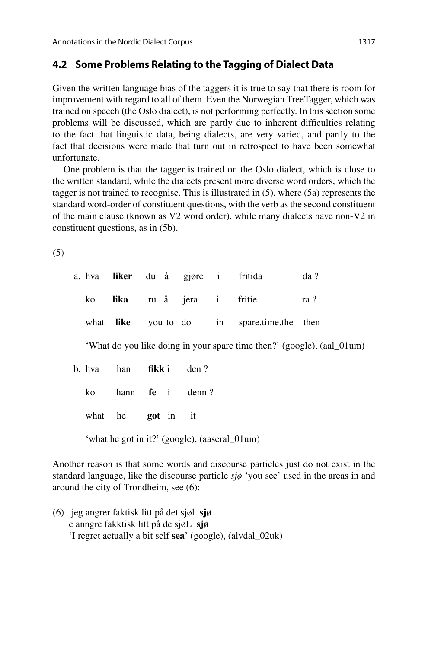## **4.2 Some Problems Relating to the Tagging of Dialect Data**

Given the written language bias of the taggers it is true to say that there is room for improvement with regard to all of them. Even the Norwegian TreeTagger, which was trained on speech (the Oslo dialect), is not performing perfectly. In this section some problems will be discussed, which are partly due to inherent difficulties relating to the fact that linguistic data, being dialects, are very varied, and partly to the fact that decisions were made that turn out in retrospect to have been somewhat unfortunate.

One problem is that the tagger is trained on the Oslo dialect, which is close to the written standard, while the dialects present more diverse word orders, which the tagger is not trained to recognise. This is illustrated in (5), where (5a) represents the standard word-order of constituent questions, with the verb as the second constituent of the main clause (known as V2 word order), while many dialects have non-V2 in constituent questions, as in (5b).

(5)

|  |  |  | a hva <b>liker</b> du å gjøre i fritida da?       |  |
|--|--|--|---------------------------------------------------|--|
|  |  |  | ko lika ru å jera i fritie ra?                    |  |
|  |  |  | what <b>like</b> you to do in spare.time.the then |  |

'What do you like doing in your spare time then?' (google), (aal\_01um)

|                                               |                          | b.hva han <b>fikk</b> i den? |  |  |
|-----------------------------------------------|--------------------------|------------------------------|--|--|
| ko                                            | hann <b>fe</b> i denn?   |                              |  |  |
|                                               | what he <b>got</b> in it |                              |  |  |
| 'what he got in it?' (google), (aaseral_01um) |                          |                              |  |  |

Another reason is that some words and discourse particles just do not exist in the standard language, like the discourse particle *sjø* 'you see' used in the areas in and around the city of Trondheim, see (6):

(6) jeg angrer faktisk litt på det sjøl **sjø** e anngre fakktisk litt på de sjøL **sjø** 'I regret actually a bit self **sea**' (google), (alvdal\_02uk)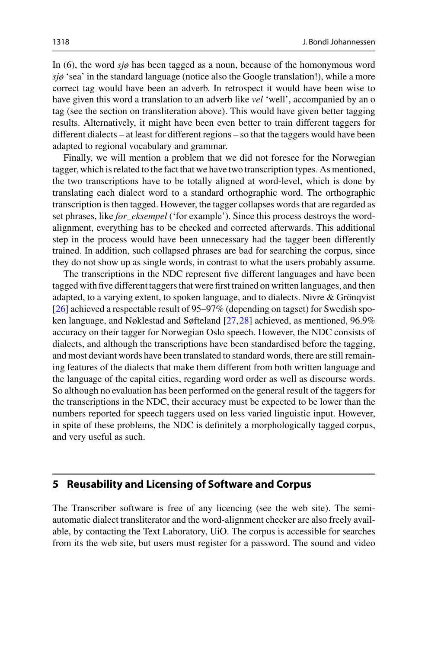In (6), the word *sjø* has been tagged as a noun, because of the homonymous word *sjø* 'sea' in the standard language (notice also the Google translation!), while a more correct tag would have been an adverb. In retrospect it would have been wise to have given this word a translation to an adverb like *vel* 'well', accompanied by an o tag (see the section on transliteration above). This would have given better tagging results. Alternatively, it might have been even better to train different taggers for different dialects – at least for different regions – so that the taggers would have been adapted to regional vocabulary and grammar.

Finally, we will mention a problem that we did not foresee for the Norwegian tagger, which is related to the fact that we have two transcription types. As mentioned, the two transcriptions have to be totally aligned at word-level, which is done by translating each dialect word to a standard orthographic word. The orthographic transcription is then tagged. However, the tagger collapses words that are regarded as set phrases, like *for\_eksempel* ('for example'). Since this process destroys the wordalignment, everything has to be checked and corrected afterwards. This additional step in the process would have been unnecessary had the tagger been differently trained. In addition, such collapsed phrases are bad for searching the corpus, since they do not show up as single words, in contrast to what the users probably assume.

The transcriptions in the NDC represent five different languages and have been tagged with five different taggers that were first trained on written languages, and then adapted, to a varying extent, to spoken language, and to dialects. Nivre & Grönqvist [26] achieved a respectable result of 95–97% (depending on tagset) for Swedish spoken language, and Nøklestad and Søfteland [27,28] achieved, as mentioned, 96.9% accuracy on their tagger for Norwegian Oslo speech. However, the NDC consists of dialects, and although the transcriptions have been standardised before the tagging, and most deviant words have been translated to standard words, there are still remaining features of the dialects that make them different from both written language and the language of the capital cities, regarding word order as well as discourse words. So although no evaluation has been performed on the general result of the taggers for the transcriptions in the NDC, their accuracy must be expected to be lower than the numbers reported for speech taggers used on less varied linguistic input. However, in spite of these problems, the NDC is definitely a morphologically tagged corpus, and very useful as such.

#### **5 Reusability and Licensing of Software and Corpus**

The Transcriber software is free of any licencing (see the web site). The semiautomatic dialect transliterator and the word-alignment checker are also freely available, by contacting the Text Laboratory, UiO. The corpus is accessible for searches from its the web site, but users must register for a password. The sound and video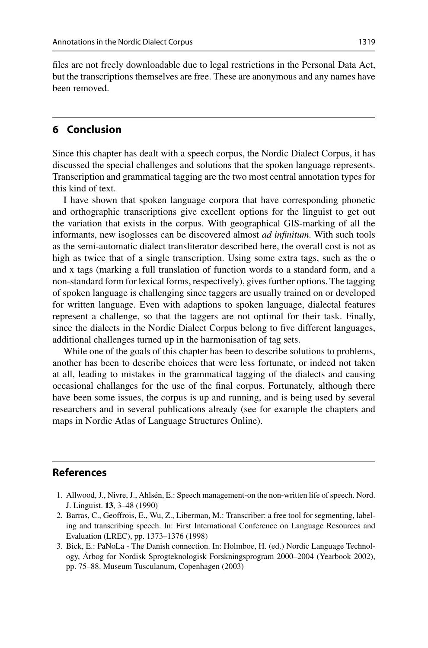files are not freely downloadable due to legal restrictions in the Personal Data Act, but the transcriptions themselves are free. These are anonymous and any names have been removed.

## **6 Conclusion**

Since this chapter has dealt with a speech corpus, the Nordic Dialect Corpus, it has discussed the special challenges and solutions that the spoken language represents. Transcription and grammatical tagging are the two most central annotation types for this kind of text.

I have shown that spoken language corpora that have corresponding phonetic and orthographic transcriptions give excellent options for the linguist to get out the variation that exists in the corpus. With geographical GIS-marking of all the informants, new isoglosses can be discovered almost *ad infinitum*. With such tools as the semi-automatic dialect transliterator described here, the overall cost is not as high as twice that of a single transcription. Using some extra tags, such as the o and x tags (marking a full translation of function words to a standard form, and a non-standard form for lexical forms, respectively), gives further options. The tagging of spoken language is challenging since taggers are usually trained on or developed for written language. Even with adaptions to spoken language, dialectal features represent a challenge, so that the taggers are not optimal for their task. Finally, since the dialects in the Nordic Dialect Corpus belong to five different languages, additional challenges turned up in the harmonisation of tag sets.

While one of the goals of this chapter has been to describe solutions to problems, another has been to describe choices that were less fortunate, or indeed not taken at all, leading to mistakes in the grammatical tagging of the dialects and causing occasional challanges for the use of the final corpus. Fortunately, although there have been some issues, the corpus is up and running, and is being used by several researchers and in several publications already (see for example the chapters and maps in Nordic Atlas of Language Structures Online).

## **References**

- 1. Allwood, J., Nivre, J., Ahlsén, E.: Speech management-on the non-written life of speech. Nord. J. Linguist. **13**, 3–48 (1990)
- 2. Barras, C., Geoffrois, E., Wu, Z., Liberman, M.: Transcriber: a free tool for segmenting, labeling and transcribing speech. In: First International Conference on Language Resources and Evaluation (LREC), pp. 1373–1376 (1998)
- 3. Bick, E.: PaNoLa The Danish connection. In: Holmboe, H. (ed.) Nordic Language Technology, Årbog for Nordisk Sprogteknologisk Forskningsprogram 2000–2004 (Yearbook 2002), pp. 75–88. Museum Tusculanum, Copenhagen (2003)